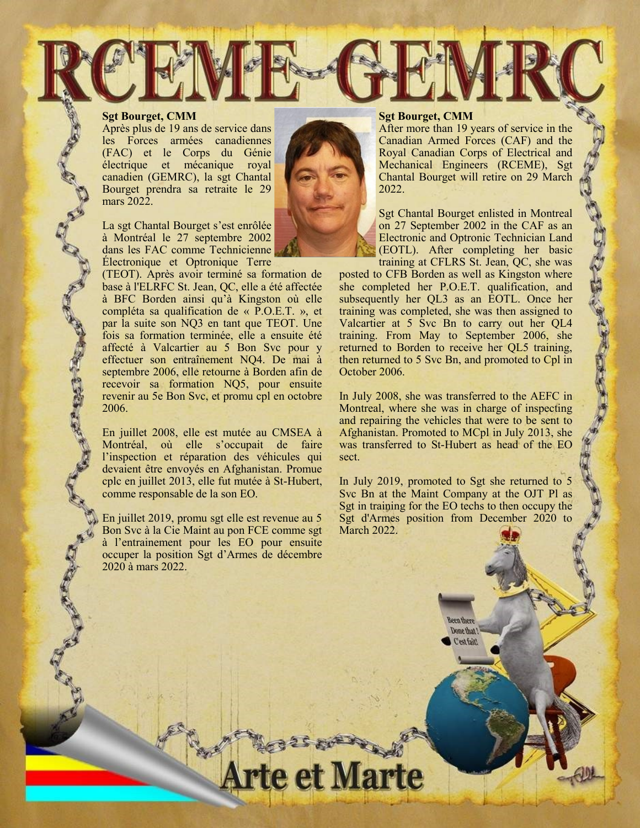## **Sgt Bourget, CMM**

Après plus de 19 ans de service dans les Forces armées canadiennes (FAC) et le Corps du Génie électrique et mécanique royal canadien (GEMRC), la sgt Chantal Bourget prendra sa retraite le 29 mars 2022.

La sgt Chantal Bourget s'est enrôlée à Montréal le 27 septembre 2002 dans les FAC comme Technicienne Électronique et Optronique Terre

(TEOT). Après avoir terminé sa formation de base à l'ELRFC St. Jean, QC, elle a été affectée à BFC Borden ainsi qu'à Kingston où elle compléta sa qualification de « P.O.E.T. », et par la suite son NQ3 en tant que TEOT. Une fois sa formation terminée, elle a ensuite été affecté à Valcartier au 5 Bon Svc pour y effectuer son entraînement NQ4. De mai à septembre 2006, elle retourne à Borden afin de recevoir sa formation NQ5, pour ensuite revenir au 5e Bon Svc, et promu cpl en octobre 2006.

En juillet 2008, elle est mutée au CMSEA à Montréal, où elle s'occupait de faire l'inspection et réparation des véhicules qui devaient être envoyés en Afghanistan. Promue cplc en juillet 2013, elle fut mutée à St-Hubert, comme responsable de la son EO.

En juillet 2019, promu sgt elle est revenue au 5 Bon Svc à la Cie Maint au pon FCE comme sgt à l'entrainement pour les EO pour ensuite occuper la position Sgt d'Armes de décembre 2020 à mars 2022.

## **Sgt Bourget, CMM**

After more than 19 years of service in the Canadian Armed Forces (CAF) and the Royal Canadian Corps of Electrical and Mechanical Engineers (RCEME), Sgt Chantal Bourget will retire on 29 March 2022.

Sgt Chantal Bourget enlisted in Montreal on 27 September 2002 in the CAF as an Electronic and Optronic Technician Land (EOTL). After completing her basic training at CFLRS St. Jean, QC, she was

「 きんさん いん いん

posted to CFB Borden as well as Kingston where she completed her P.O.E.T. qualification, and subsequently her QL3 as an EOTL. Once her training was completed, she was then assigned to Valcartier at 5 Svc Bn to carry out her QL4 training. From May to September 2006, she returned to Borden to receive her QL5 training, then returned to 5 Svc Bn, and promoted to Cpl in October 2006.

In July 2008, she was transferred to the AEFC in Montreal, where she was in charge of inspecting and repairing the vehicles that were to be sent to Afghanistan. Promoted to MCpl in July 2013, she was transferred to St-Hubert as head of the EO sect.

In July 2019, promoted to Sgt she returned to 5 Svc Bn at the Maint Company at the OJT Pl as Sgt in training for the EO techs to then occupy the Sgt d'Armes position from December 2020 to March 2022.

> **Been there** Done that! *<u>Cestfait</u>*